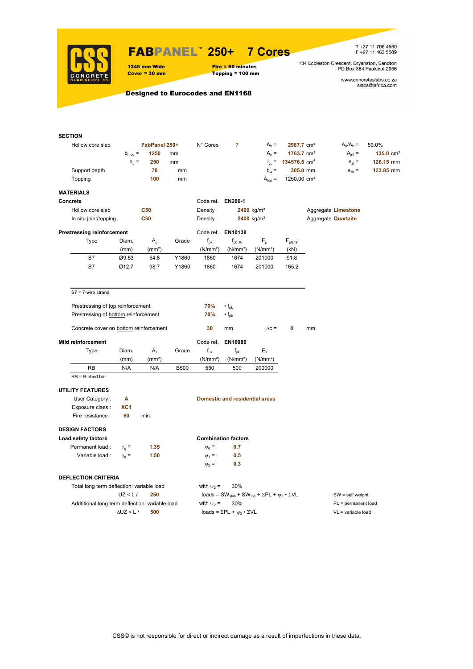

### FABPANEL**™ 250+ 7 Cores**

1245 mm Wide Fire = 60 minutes<br>
Cover = 30 mm Topping = 100 mm  $Topping = 100 mm$ 

T +27 11 706 4560<br>F +27 11 463 5589

134 Eccleston Crescent, Bryanston, Sandton<br>PO Box 364 Paulshof 2056

www.concreteslabs.co.za<br>slabs@iafrica.com

Designed to Eurocodes and EN1168

| <b>SECTION</b>                                  |                    |                    |             |                            |                                                                                         |                        |                                            |                     |                            |                      |  |  |
|-------------------------------------------------|--------------------|--------------------|-------------|----------------------------|-----------------------------------------------------------------------------------------|------------------------|--------------------------------------------|---------------------|----------------------------|----------------------|--|--|
| Hollow core slab                                |                    | FabPanel 250+      |             | N° Cores                   | $\overline{7}$                                                                          | $Ab =$                 | 2987.7 cm <sup>2</sup>                     |                     | $A_n/A_b =$                | 59.0%                |  |  |
|                                                 | $b_{mod}$ =        | 1250               | mm          |                            |                                                                                         | $A_n =$                | 1763.7 cm <sup>2</sup>                     |                     | $A_{int} =$                | $135.0 \text{ cm}^2$ |  |  |
|                                                 | $h_{\rm p}$ =      | 250                | mm          |                            |                                                                                         |                        | $I_{\text{vc}}$ = 134576.5 cm <sup>4</sup> |                     | $e_{71} =$                 | 126.15 mm            |  |  |
| Support depth                                   |                    | 70                 | mm          |                            |                                                                                         | $b_w =$                | 305.0 mm                                   |                     | $e_{zb}$ =                 | 123.85 mm            |  |  |
| Topping                                         |                    | 100                | mm          |                            |                                                                                         | $A_{top} =$            | 1250.00 cm <sup>2</sup>                    |                     |                            |                      |  |  |
|                                                 |                    |                    |             |                            |                                                                                         |                        |                                            |                     |                            |                      |  |  |
| <b>MATERIALS</b>                                |                    |                    |             |                            |                                                                                         |                        |                                            |                     |                            |                      |  |  |
| Concrete                                        |                    |                    |             | Code ref. EN206-1          |                                                                                         |                        |                                            |                     |                            |                      |  |  |
| Hollow core slab                                |                    | C50                |             | Density                    |                                                                                         | 2400 kg/m <sup>3</sup> |                                            |                     | Aggregate Limestone        |                      |  |  |
| In situ joint/topping                           |                    | C30                |             | Density                    |                                                                                         | 2400 kg/m <sup>3</sup> |                                            |                     | Aggregate <b>Quartzite</b> |                      |  |  |
| <b>Prestressing reinforcement</b>               |                    |                    |             |                            | Code ref. EN10138                                                                       |                        |                                            |                     |                            |                      |  |  |
| Type                                            | Diam.              | $A_{p}$            | Grade       | $\mathsf{f}_{\mathsf{pk}}$ | $f_{p0.1k}$                                                                             | $E_{\rm p}$            | $F_{p0.1k}$                                |                     |                            |                      |  |  |
|                                                 | (mm)               | (mm <sup>2</sup> ) |             | (N/mm <sup>2</sup> )       | (N/mm <sup>2</sup> )                                                                    | (N/mm <sup>2</sup> )   | (kN)                                       |                     |                            |                      |  |  |
| S7                                              | Ø9.53              | 54.8               | Y1860       | 1860                       | 1674                                                                                    | 201000                 | 91.8                                       |                     |                            |                      |  |  |
| S7                                              | Ø12.7              | 98.7               | Y1860       | 1860                       | 1674                                                                                    | 201000                 | 165.2                                      |                     |                            |                      |  |  |
|                                                 |                    |                    |             |                            |                                                                                         |                        |                                            |                     |                            |                      |  |  |
|                                                 |                    |                    |             |                            |                                                                                         |                        |                                            |                     |                            |                      |  |  |
| $S7 = 7$ -wire strand                           |                    |                    |             |                            |                                                                                         |                        |                                            |                     |                            |                      |  |  |
| Prestressing of top reinforcement               |                    |                    |             | 70%                        | $\cdot$ f <sub>pk</sub>                                                                 |                        |                                            |                     |                            |                      |  |  |
| Prestressing of bottom reinforcement            |                    |                    |             | 70%                        | $\cdot f_{\rm pk}$                                                                      |                        |                                            |                     |                            |                      |  |  |
|                                                 |                    |                    |             |                            |                                                                                         |                        |                                            |                     |                            |                      |  |  |
| Concrete cover on bottom reinforcement          |                    |                    |             | 30                         | mm                                                                                      | $\Delta c =$           | 0                                          | mm                  |                            |                      |  |  |
| <b>Mild reinforcement</b>                       |                    |                    |             | Code ref.                  | EN10080                                                                                 |                        |                                            |                     |                            |                      |  |  |
| Type                                            | Diam.              | $A_{s}$            | Grade       | $f_{uk}$                   | $f_{\rm vk}$                                                                            | $E_{s}$                |                                            |                     |                            |                      |  |  |
|                                                 | (mm)               | (mm <sup>2</sup> ) |             | (N/mm <sup>2</sup> )       | (N/mm <sup>2</sup> )                                                                    | (N/mm <sup>2</sup> )   |                                            |                     |                            |                      |  |  |
| RB                                              | N/A                | N/A                | <b>B500</b> | 550                        | 500                                                                                     | 200000                 |                                            |                     |                            |                      |  |  |
| $RB = Ribbed bar$                               |                    |                    |             |                            |                                                                                         |                        |                                            |                     |                            |                      |  |  |
| <b>UTILITY FEATURES</b>                         |                    |                    |             |                            |                                                                                         |                        |                                            |                     |                            |                      |  |  |
| User Category:                                  | А                  |                    |             |                            | <b>Domestic and residential areas</b>                                                   |                        |                                            |                     |                            |                      |  |  |
| Exposure class :                                | XC <sub>1</sub>    |                    |             |                            |                                                                                         |                        |                                            |                     |                            |                      |  |  |
| Fire resistance :                               | 60                 | min.               |             |                            |                                                                                         |                        |                                            |                     |                            |                      |  |  |
|                                                 |                    |                    |             |                            |                                                                                         |                        |                                            |                     |                            |                      |  |  |
| <b>DESIGN FACTORS</b>                           |                    |                    |             |                            |                                                                                         |                        |                                            |                     |                            |                      |  |  |
| Load safety factors                             |                    |                    |             |                            | <b>Combination factors</b>                                                              |                        |                                            |                     |                            |                      |  |  |
| Permanent load :                                | $\gamma_{q} =$     | 1.35               |             | $\Psi_0 =$                 | 0.7                                                                                     |                        |                                            |                     |                            |                      |  |  |
| Variable load :                                 | $\gamma_{\rm q} =$ | 1.50               |             | $\Psi_1$ =                 | 0.5                                                                                     |                        |                                            |                     |                            |                      |  |  |
|                                                 |                    |                    |             | $\Psi_2$ =                 | 0.3                                                                                     |                        |                                            |                     |                            |                      |  |  |
| <b>DEFLECTION CRITERIA</b>                      |                    |                    |             |                            |                                                                                         |                        |                                            |                     |                            |                      |  |  |
| Total long term deflection: variable load       |                    |                    |             | with $\psi_2$ =            | 30%                                                                                     |                        |                                            |                     |                            |                      |  |  |
|                                                 | UZ < L/            | 250                |             |                            | loads = SW <sub>slab</sub> + SW <sub>top</sub> + $\Sigma$ PL + $\psi_2 \cdot \Sigma$ VL |                        |                                            | $SW = self weight$  |                            |                      |  |  |
| Addtitional long term deflection: variable load |                    |                    |             | with $\psi_2$ =            | 30%                                                                                     |                        |                                            | PL = permanent load |                            |                      |  |  |
|                                                 | $\Delta$ UZ < L /  | 500                |             |                            | loads = $\Sigma$ PL + $\psi_2 \cdot \Sigma$ VL                                          |                        |                                            |                     | VL = variable load         |                      |  |  |
|                                                 |                    |                    |             |                            |                                                                                         |                        |                                            |                     |                            |                      |  |  |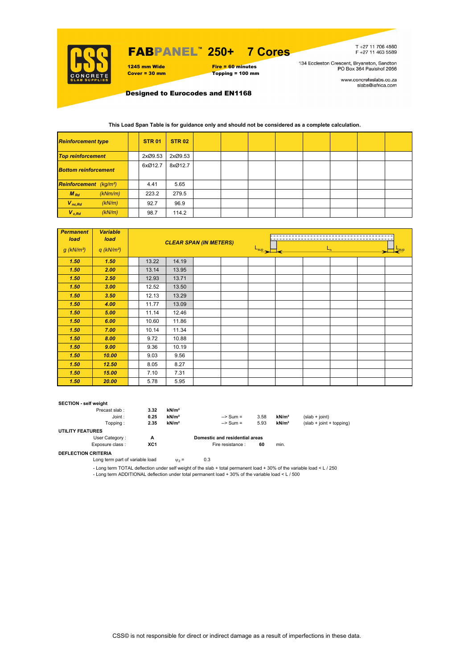

## FABPANEL**™ 250+ 7 Cores**

1245 mm Wide Fire = 60 minutes<br>
Cover = 30 mm Topping = 100 mm



T+27 11 706 4560<br>F+27 11 463 5589

134 Eccleston Crescent, Bryanston, Sandton<br>PO Box 364 Paulshof 2056

www.concreteslabs.co.za<br>slabs@iafrica.com

Designed to Eurocodes and EN1168

#### **This Load Span Table is for guidance only and should not be considered as a complete calculation.**

| <b>Reinforcement type</b>                 | <b>STR 01</b> | <b>STR 02</b> |  |  |  |  |
|-------------------------------------------|---------------|---------------|--|--|--|--|
| <b>Top reinforcement</b>                  | 2xØ9.53       | 2xØ9.53       |  |  |  |  |
| <b>Bottom reinforcement</b>               | 6xØ12.7       | 8xØ12.7       |  |  |  |  |
| <b>Reinforcement</b> (kg/m <sup>2</sup> ) | 4.41          | 5.65          |  |  |  |  |
| $M_{Rd}$<br>(kNm/m)                       | 223.2         | 279.5         |  |  |  |  |
| $V_{nc,Rd}$<br>(kN/m)                     | 92.7          | 96.9          |  |  |  |  |
| $V_{c, Rd}$<br>(kN/m)                     | 98.7          | 114.2         |  |  |  |  |

| <b>Permanent</b><br>load | <b>Variable</b><br>load  |  |       |       | <b>CLEAR SPAN (IN METERS)</b> |                  |  |  |         |  |  |
|--------------------------|--------------------------|--|-------|-------|-------------------------------|------------------|--|--|---------|--|--|
| $g$ (kN/m <sup>2</sup> ) | $q$ (kN/m <sup>2</sup> ) |  |       |       |                               | $L_{\text{sup}}$ |  |  | $L_{n}$ |  |  |
| 1.50                     | 1.50                     |  | 13.22 | 14.19 |                               |                  |  |  |         |  |  |
| 1.50                     | 2.00                     |  | 13.14 | 13.95 |                               |                  |  |  |         |  |  |
| 1.50                     | 2.50                     |  | 12.93 | 13.71 |                               |                  |  |  |         |  |  |
| 1.50                     | 3.00                     |  | 12.52 | 13.50 |                               |                  |  |  |         |  |  |
| 1.50                     | 3.50                     |  | 12.13 | 13.29 |                               |                  |  |  |         |  |  |
| 1.50                     | 4.00                     |  | 11.77 | 13.09 |                               |                  |  |  |         |  |  |
| 1.50                     | 5.00                     |  | 11.14 | 12.46 |                               |                  |  |  |         |  |  |
| 1.50                     | 6.00                     |  | 10.60 | 11.86 |                               |                  |  |  |         |  |  |
| 1.50                     | 7.00                     |  | 10.14 | 11.34 |                               |                  |  |  |         |  |  |
| 1.50                     | 8.00                     |  | 9.72  | 10.88 |                               |                  |  |  |         |  |  |
| 1.50                     | 9.00                     |  | 9.36  | 10.19 |                               |                  |  |  |         |  |  |
| 1.50                     | 10.00                    |  | 9.03  | 9.56  |                               |                  |  |  |         |  |  |
| 1.50                     | 12.50                    |  | 8.05  | 8.27  |                               |                  |  |  |         |  |  |
| 1.50                     | 15.00                    |  | 7.10  | 7.31  |                               |                  |  |  |         |  |  |
| 1.50                     | 20.00                    |  | 5.78  | 5.95  |                               |                  |  |  |         |  |  |

#### **SECTION - self weight**

| Precast slab:           | 3.32 | kN/m <sup>2</sup> |                     |                                |                   |                            |  |  |  |
|-------------------------|------|-------------------|---------------------|--------------------------------|-------------------|----------------------------|--|--|--|
| Joint:                  | 0.25 | kN/m <sup>2</sup> | $\Rightarrow$ Sum = | 3.58                           | kN/m <sup>2</sup> | $(slab + joint)$           |  |  |  |
| Topping :               | 2.35 | kN/m <sup>2</sup> | $\Rightarrow$ Sum = | 5.93                           | kN/m <sup>2</sup> | $(slab + joint + topping)$ |  |  |  |
| <b>UTILITY FEATURES</b> |      |                   |                     |                                |                   |                            |  |  |  |
| User Category:          | А    |                   |                     | Domestic and residential areas |                   |                            |  |  |  |
| Exposure class:         | XC1  |                   | Fire resistance :   | 60                             | min.              |                            |  |  |  |
| ---- ------- -------    |      |                   |                     |                                |                   |                            |  |  |  |

**DEFLECTION CRITERIA**

Long term part of variable load  $v_2 = 0.3$ 

- Long term TOTAL deflection under self weight of the slab + total permanent load + 30% of the variable load < L / 250 - Long term ADDITIONAL deflection under total permanent load + 30% of the variable load < L / 500